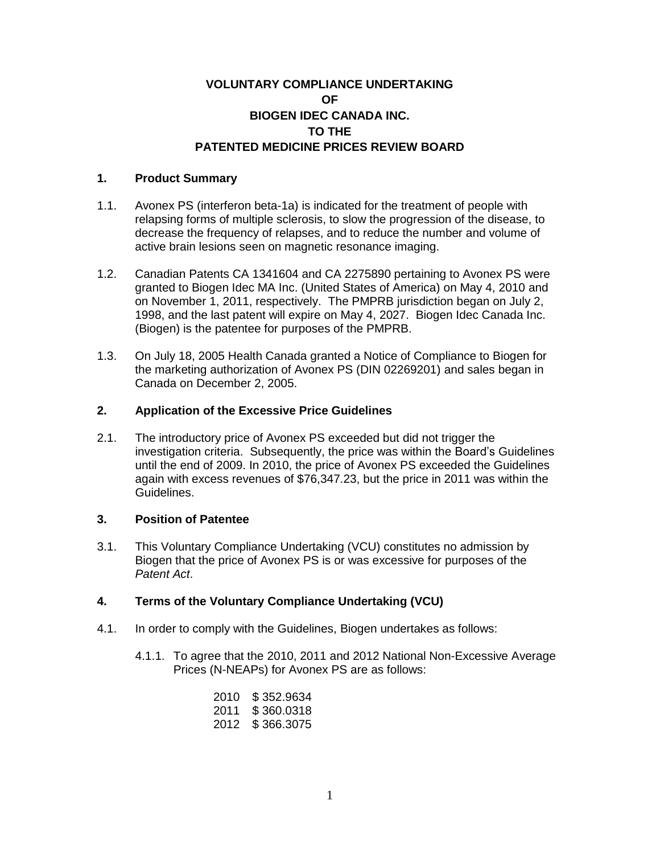# **VOLUNTARY COMPLIANCE UNDERTAKING OF BIOGEN IDEC CANADA INC. TO THE PATENTED MEDICINE PRICES REVIEW BOARD**

# **1. Product Summary**

- 1.1. Avonex PS (interferon beta-1a) is indicated for the treatment of people with relapsing forms of multiple sclerosis, to slow the progression of the disease, to decrease the frequency of relapses, and to reduce the number and volume of active brain lesions seen on magnetic resonance imaging.
- 1.2. Canadian Patents CA 1341604 and CA 2275890 pertaining to Avonex PS were granted to Biogen Idec MA Inc. (United States of America) on May 4, 2010 and on November 1, 2011, respectively. The PMPRB jurisdiction began on July 2, 1998, and the last patent will expire on May 4, 2027. Biogen Idec Canada Inc. (Biogen) is the patentee for purposes of the PMPRB.
- 1.3. On July 18, 2005 Health Canada granted a Notice of Compliance to Biogen for the marketing authorization of Avonex PS (DIN 02269201) and sales began in Canada on December 2, 2005.

### **2. Application of the Excessive Price Guidelines**

2.1. The introductory price of Avonex PS exceeded but did not trigger the investigation criteria. Subsequently, the price was within the Board's Guidelines until the end of 2009. In 2010, the price of Avonex PS exceeded the Guidelines again with excess revenues of \$76,347.23, but the price in 2011 was within the Guidelines.

# **3. Position of Patentee**

3.1. This Voluntary Compliance Undertaking (VCU) constitutes no admission by Biogen that the price of Avonex PS is or was excessive for purposes of the *Patent Act*.

# **4. Terms of the Voluntary Compliance Undertaking (VCU)**

- 4.1. In order to comply with the Guidelines, Biogen undertakes as follows:
	- 4.1.1. To agree that the 2010, 2011 and 2012 National Non-Excessive Average Prices (N-NEAPs) for Avonex PS are as follows:

| 2010 | \$352.9634  |
|------|-------------|
| 2011 | \$ 360.0318 |
| 2012 | \$366.3075  |